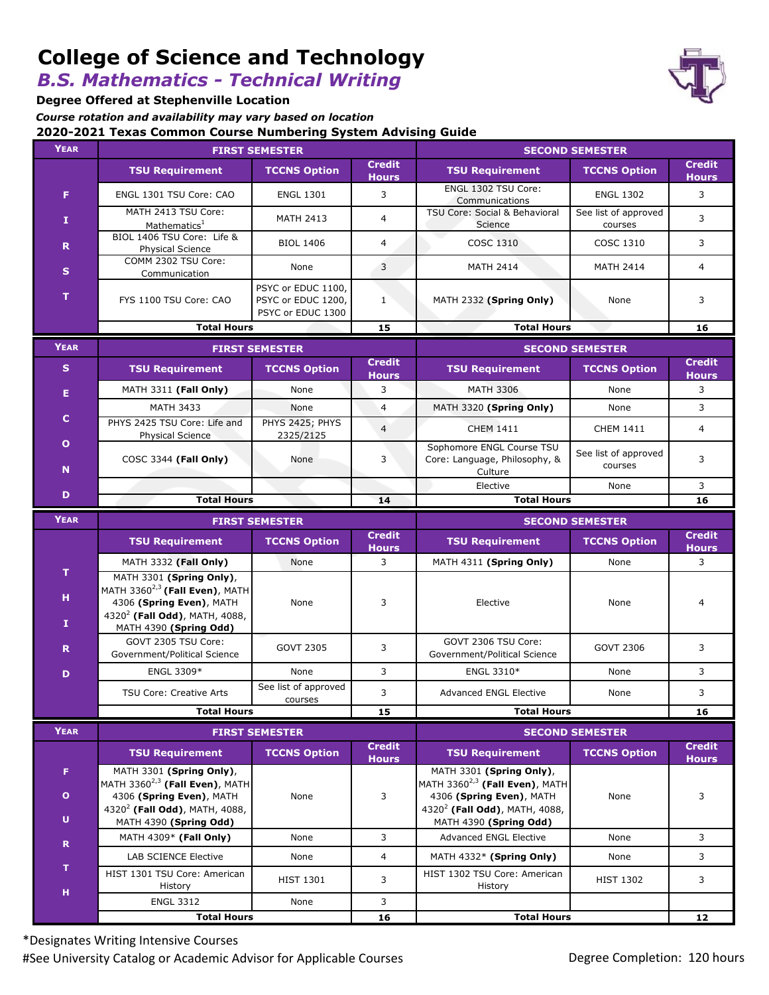# **College of Science and Technology**

*B.S. Mathematics - Technical Writing*

**Degree Offered at Stephenville Location**

**2020-2021 Texas Common Course Numbering System Advising Guide** *Course rotation and availability may vary based on location*

| <b>YEAR</b>       | <b>FIRST SEMESTER</b>                                                                                                                                               |                                                               |                               | <b>SECOND SEMESTER</b>                                                                                                                    |                                 |                               |
|-------------------|---------------------------------------------------------------------------------------------------------------------------------------------------------------------|---------------------------------------------------------------|-------------------------------|-------------------------------------------------------------------------------------------------------------------------------------------|---------------------------------|-------------------------------|
|                   | <b>TSU Requirement</b>                                                                                                                                              | <b>TCCNS Option</b>                                           | <b>Credit</b><br><b>Hours</b> | <b>TSU Requirement</b>                                                                                                                    | <b>TCCNS Option</b>             | <b>Credit</b><br><b>Hours</b> |
| F.                | ENGL 1301 TSU Core: CAO                                                                                                                                             | <b>ENGL 1301</b>                                              | 3                             | ENGL 1302 TSU Core:<br>Communications                                                                                                     | <b>ENGL 1302</b>                | 3                             |
| Ι.                | MATH 2413 TSU Core:<br>Mathematics <sup>1</sup>                                                                                                                     | <b>MATH 2413</b>                                              | $\overline{4}$                | TSU Core: Social & Behavioral<br>Science                                                                                                  | See list of approved<br>courses | 3                             |
| R                 | BIOL 1406 TSU Core: Life &<br>Physical Science                                                                                                                      | <b>BIOL 1406</b>                                              | $\overline{4}$                | COSC 1310                                                                                                                                 | COSC 1310                       | 3                             |
| $\mathbf{s}$      | COMM 2302 TSU Core:<br>Communication                                                                                                                                | None                                                          | 3                             | <b>MATH 2414</b>                                                                                                                          | <b>MATH 2414</b>                | $\overline{4}$                |
| т                 | FYS 1100 TSU Core: CAO                                                                                                                                              | PSYC or EDUC 1100,<br>PSYC or EDUC 1200,<br>PSYC or EDUC 1300 | $\mathbf{1}$                  | MATH 2332 (Spring Only)                                                                                                                   | None                            | 3                             |
|                   | <b>Total Hours</b><br>15                                                                                                                                            |                                                               |                               | <b>Total Hours</b>                                                                                                                        |                                 | 16                            |
| <b>YEAR</b>       | <b>FIRST SEMESTER</b>                                                                                                                                               |                                                               |                               | <b>SECOND SEMESTER</b>                                                                                                                    |                                 |                               |
| S.                | <b>TSU Requirement</b>                                                                                                                                              | <b>TCCNS Option</b>                                           | <b>Credit</b><br><b>Hours</b> | <b>TSU Requirement</b>                                                                                                                    | <b>TCCNS Option</b>             | <b>Credit</b><br><b>Hours</b> |
| Е                 | MATH 3311 (Fall Only)                                                                                                                                               | None                                                          | 3                             | <b>MATH 3306</b>                                                                                                                          | None                            | 3                             |
|                   | <b>MATH 3433</b>                                                                                                                                                    | None                                                          | $\overline{4}$                | MATH 3320 (Spring Only)                                                                                                                   | None                            | 3                             |
| c                 | PHYS 2425 TSU Core: Life and<br><b>Physical Science</b>                                                                                                             | PHYS 2425; PHYS<br>2325/2125                                  | $\overline{4}$                | <b>CHEM 1411</b>                                                                                                                          | <b>CHEM 1411</b>                | 4                             |
| $\mathbf{o}$<br>N | COSC 3344 (Fall Only)                                                                                                                                               | None                                                          | 3                             | Sophomore ENGL Course TSU<br>Core: Language, Philosophy, &<br>Culture                                                                     | See list of approved<br>courses | 3                             |
| D                 |                                                                                                                                                                     |                                                               |                               | Elective                                                                                                                                  | None                            | 3                             |
|                   | <b>Total Hours</b>                                                                                                                                                  |                                                               | 14                            | <b>Total Hours</b>                                                                                                                        |                                 | 16                            |
| <b>YEAR</b>       | <b>FIRST SEMESTER</b><br><b>Credit</b>                                                                                                                              |                                                               |                               | <b>SECOND SEMESTER</b><br><b>Credit</b>                                                                                                   |                                 |                               |
|                   | <b>TSU Requirement</b>                                                                                                                                              | <b>TCCNS Option</b>                                           | <b>Hours</b>                  | <b>TSU Requirement</b>                                                                                                                    | <b>TCCNS Option</b>             | <b>Hours</b>                  |
| T                 | MATH 3332 (Fall Only)                                                                                                                                               | None                                                          | 3                             | MATH 4311 (Spring Only)                                                                                                                   | None                            | 3                             |
| н<br>Ι.           | MATH 3301 (Spring Only),<br>MATH 3360 $^{2,3}$ (Fall Even), MATH<br>4306 (Spring Even), MATH<br>4320 <sup>2</sup> (Fall Odd), MATH, 4088,<br>MATH 4390 (Spring Odd) | None                                                          | 3                             | Elective                                                                                                                                  | None                            | 4                             |
| R                 | GOVT 2305 TSU Core:<br>Government/Political Science                                                                                                                 | <b>GOVT 2305</b>                                              | 3                             | GOVT 2306 TSU Core:<br>Government/Political Science                                                                                       | <b>GOVT 2306</b>                | 3                             |
| D                 | ENGL 3309*                                                                                                                                                          | None                                                          | 3                             | ENGL 3310*                                                                                                                                | None                            | 3                             |
|                   | <b>TSU Core: Creative Arts</b>                                                                                                                                      | See list of approved<br>courses                               | 3                             | <b>Advanced ENGL Elective</b>                                                                                                             | None                            | 3                             |
|                   | <b>Total Hours</b>                                                                                                                                                  |                                                               | 15                            | <b>Total Hours</b>                                                                                                                        |                                 | 16                            |
| <b>YEAR</b>       | <b>FIRST SEMESTER</b>                                                                                                                                               |                                                               |                               | <b>SECOND SEMESTER</b>                                                                                                                    |                                 |                               |
|                   | <b>TSU Requirement</b>                                                                                                                                              | <b>TCCNS Option</b>                                           | <b>Credit</b><br><b>Hours</b> | <b>TSU Requirement</b>                                                                                                                    | <b>TCCNS Option</b>             | <b>Credit</b><br><b>Hours</b> |
| F.<br>$\bullet$   | MATH 3301 (Spring Only),<br>MATH 3360 <sup>2,3</sup> (Fall Even), MATH<br>4306 (Spring Even), MATH<br>4320 <sup>2</sup> (Fall Odd), MATH, 4088,                     | None                                                          | 3                             | MATH 3301 (Spring Only),<br>MATH 3360 $^{2,3}$ (Fall Even), MATH<br>4306 (Spring Even), MATH<br>4320 <sup>2</sup> (Fall Odd), MATH, 4088, | None                            | 3                             |
| U                 | MATH 4390 (Spring Odd)                                                                                                                                              |                                                               |                               | MATH 4390 (Spring Odd)                                                                                                                    |                                 |                               |
| $\mathbf R$       | MATH 4309* (Fall Only)                                                                                                                                              | None                                                          | 3                             | <b>Advanced ENGL Elective</b>                                                                                                             | None                            | 3                             |
| т                 | <b>LAB SCIENCE Elective</b>                                                                                                                                         | None                                                          | $\overline{4}$                | MATH 4332* (Spring Only)                                                                                                                  | None                            | 3                             |
| н                 | HIST 1301 TSU Core: American<br>History                                                                                                                             | <b>HIST 1301</b>                                              | 3                             | HIST 1302 TSU Core: American<br>History                                                                                                   | <b>HIST 1302</b>                | 3                             |
|                   | <b>ENGL 3312</b>                                                                                                                                                    | None                                                          | 3<br>16                       |                                                                                                                                           |                                 | 12                            |
|                   | <b>Total Hours</b>                                                                                                                                                  |                                                               |                               | <b>Total Hours</b>                                                                                                                        |                                 |                               |

\*Designates Writing Intensive Courses #See University Catalog or Academic Advisor for Applicable Courses **Degree Completion: 120 hours**